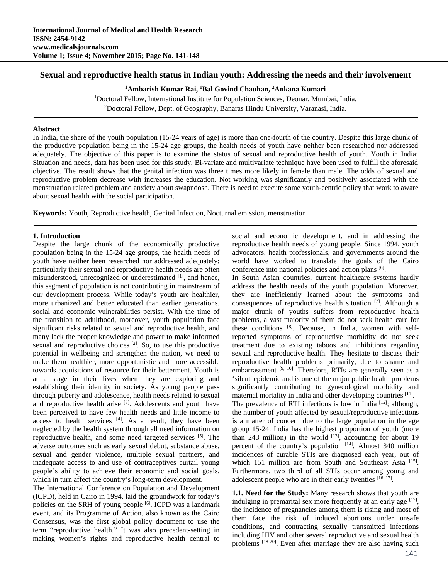# **Sexual and reproductive health status in Indian youth: Addressing the needs and their involvement**

**1 Ambarish Kumar Rai, 1 Bal Govind Chauhan, 2 Ankana Kumari** 

<sup>1</sup>Doctoral Fellow, International Institute for Population Sciences, Deonar, Mumbai, India.<br><sup>2</sup>Doctoral Fellow, Dept. of Geography, Banaras Hindu University, Varanasi, India.

<sup>2</sup>Doctoral Fellow, Dept. of Geography, Banaras Hindu University, Varanasi, India.

#### **Abstract**

In India, the share of the youth population (15-24 years of age) is more than one-fourth of the country. Despite this large chunk of the productive population being in the 15-24 age groups, the health needs of youth have neither been researched nor addressed adequately. The objective of this paper is to examine the status of sexual and reproductive health of youth. Youth in India: Situation and needs, data has been used for this study. Bi-variate and multivariate technique have been used to fulfill the aforesaid objective. The result shows that the genital infection was three times more likely in female than male. The odds of sexual and reproductive problem decrease with increases the education. Not working was significantly and positively associated with the menstruation related problem and anxiety about swapndosh. There is need to execute some youth-centric policy that work to aware about sexual health with the social participation.

**Keywords:** Youth, Reproductive health, Genital Infection, Nocturnal emission, menstruation

#### **1. Introduction**

Despite the large chunk of the economically productive population being in the 15-24 age groups, the health needs of youth have neither been researched nor addressed adequately; particularly their sexual and reproductive health needs are often misunderstood, unrecognized or underestimated [1], and hence, this segment of population is not contributing in mainstream of our development process. While today's youth are healthier, more urbanized and better educated than earlier generations, social and economic vulnerabilities persist. With the time of the transition to adulthood, moreover, youth population face significant risks related to sexual and reproductive health, and many lack the proper knowledge and power to make informed sexual and reproductive choices <sup>[2]</sup>. So, to use this productive potential in wellbeing and strengthen the nation, we need to make them healthier, more opportunistic and more accessible towards acquisitions of resource for their betterment. Youth is at a stage in their lives when they are exploring and establishing their identity in society. As young people pass through puberty and adolescence, health needs related to sexual and reproductive health arise [3]. Adolescents and youth have been perceived to have few health needs and little income to access to health services  $[4]$ . As a result, they have been neglected by the health system through all need information on reproductive health, and some need targeted services [5]. The adverse outcomes such as early sexual debut, substance abuse, sexual and gender violence, multiple sexual partners, and inadequate access to and use of contraceptives curtail young people's ability to achieve their economic and social goals, which in turn affect the country's long-term development.

The International Conference on Population and Development (ICPD), held in Cairo in 1994, laid the groundwork for today's policies on the SRH of young people <sup>[6]</sup>. ICPD was a landmark event, and its Programme of Action, also known as the Cairo Consensus, was the first global policy document to use the term "reproductive health." It was also precedent-setting in making women's rights and reproductive health central to

social and economic development, and in addressing the reproductive health needs of young people. Since 1994, youth advocators, health professionals, and governments around the world have worked to translate the goals of the Cairo conference into national policies and action plans [6].

In South Asian countries, current healthcare systems hardly address the health needs of the youth population. Moreover, they are inefficiently learned about the symptoms and consequences of reproductive health situation  $[7]$ . Although a major chunk of youths suffers from reproductive health problems, a vast majority of them do not seek health care for these conditions [8]. Because, in India, women with selfreported symptoms of reproductive morbidity do not seek treatment due to existing taboos and inhibitions regarding sexual and reproductive health. They hesitate to discuss their reproductive health problems primarily, due to shame and embarrassment  $[9, 10]$ . Therefore, RTIs are generally seen as a 'silent' epidemic and is one of the major public health problems significantly contributing to gynecological morbidity and maternal mortality in India and other developing countries [11]. The prevalence of RTI infections is low in India  $[12]$ ; although, the number of youth affected by sexual/reproductive infections is a matter of concern due to the large population in the age group 15-24. India has the highest proportion of youth (more than 243 million) in the world  $[13]$ , accounting for about 19 percent of the country's population [14]. Almost 340 million incidences of curable STIs are diagnosed each year, out of which 151 million are from South and Southeast Asia<sup>[15]</sup>. Furthermore, two third of all STIs occur among young and adolescent people who are in their early twenties [16, 17].

**1.1. Need for the Study:** Many research shows that youth are indulging in premarital sex more frequently at an early age  $[17]$ , the incidence of pregnancies among them is rising and most of them face the risk of induced abortions under unsafe conditions, and contracting sexually transmitted infections including HIV and other several reproductive and sexual health problems [18-20]. Even after marriage they are also having such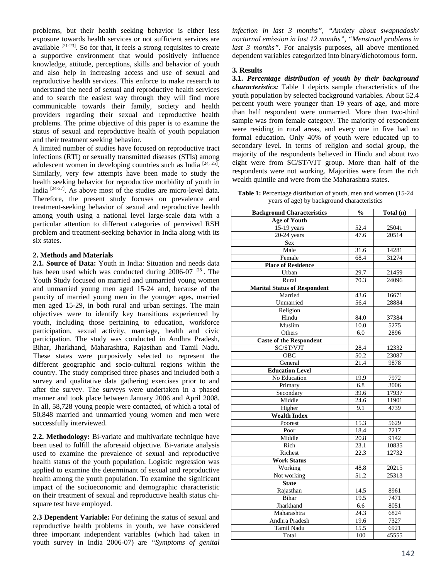problems, but their health seeking behavior is either less exposure towards health services or not sufficient services are available <sup>[21-23]</sup>. So for that, it feels a strong requisites to create a supportive environment that would positively influence knowledge, attitude, perceptions, skills and behavior of youth and also help in increasing access and use of sexual and reproductive health services. This enforce to make research to understand the need of sexual and reproductive health services and to search the easiest way through they will find more communicable towards their family, society and health providers regarding their sexual and reproductive health problems. The prime objective of this paper is to examine the status of sexual and reproductive health of youth population and their treatment seeking behavior.

A limited number of studies have focused on reproductive tract infections (RTI) or sexually transmitted diseases (STIs) among adolescent women in developing countries such as India [24, 25]. Similarly, very few attempts have been made to study the health seeking behavior for reproductive morbidity of youth in India [24-27]. As above most of the studies are micro-level data. Therefore, the present study focuses on prevalence and treatment-seeking behavior of sexual and reproductive health among youth using a national level large-scale data with a particular attention to different categories of perceived RSH problem and treatment-seeking behavior in India along with its six states.

## **2. Methods and Materials**

**2.1. Source of Data:** Youth in India: Situation and needs data has been used which was conducted during 2006-07<sup>[28]</sup>. The Youth Study focused on married and unmarried young women and unmarried young men aged 15-24 and, because of the paucity of married young men in the younger ages, married men aged 15-29, in both rural and urban settings. The main objectives were to identify key transitions experienced by youth, including those pertaining to education, workforce participation, sexual activity, marriage, health and civic participation. The study was conducted in Andhra Pradesh, Bihar, Jharkhand, Maharashtra, Rajasthan and Tamil Nadu. These states were purposively selected to represent the different geographic and socio-cultural regions within the country. The study comprised three phases and included both a survey and qualitative data gathering exercises prior to and after the survey. The surveys were undertaken in a phased manner and took place between January 2006 and April 2008. In all, 58,728 young people were contacted, of which a total of 50,848 married and unmarried young women and men were successfully interviewed.

**2.2. Methodology:** Bi-variate and multivariate technique have been used to fulfill the aforesaid objective. Bi-variate analysis used to examine the prevalence of sexual and reproductive health status of the youth population. Logistic regression was applied to examine the determinant of sexual and reproductive health among the youth population. To examine the significant impact of the socioeconomic and demographic characteristic on their treatment of sexual and reproductive health status chisquare test have employed.

**2.3 Dependent Variable:** For defining the status of sexual and reproductive health problems in youth, we have considered three important independent variables (which had taken in youth survey in India 2006-07) are *"Symptoms of genital* 

*infection in last 3 months"*, *"Anxiety about swapnadosh/ nocturnal emission in last 12 months"*, *"Menstrual problems in last 3 months"*. For analysis purposes, all above mentioned dependent variables categorized into binary/dichotomous form.

## **3. Results**

**3.1.** *Percentage distribution of youth by their background characteristics:* Table 1 depicts sample characteristics of the youth population by selected background variables. About 52.4 percent youth were younger than 19 years of age, and more than half respondent were unmarried. More than two-third sample was from female category. The majority of respondent were residing in rural areas, and every one in five had no formal education. Only 40% of youth were educated up to secondary level. In terms of religion and social group, the majority of the respondents believed in Hindu and about two eight were from SC/ST/VJT group. More than half of the respondents were not working. Majorities were from the rich wealth quintile and were from the Maharashtra states.

**Table 1:** Percentage distribution of youth, men and women (15-24 years of age) by background characteristics

| <b>Background Characteristics</b>   | $\mathcal{V}_{\mathbf{0}}$ | Total (n) |
|-------------------------------------|----------------------------|-----------|
| <b>Age of Youth</b>                 |                            |           |
| 15-19 years                         | 52.4                       | 25041     |
| $20-24$ years                       | 47.6                       | 20514     |
| Sex                                 |                            |           |
| Male                                | 31.6                       | 14281     |
| Female                              | 68.4                       | 31274     |
| <b>Place of Residence</b>           |                            |           |
| Urban                               | 29.7                       | 21459     |
| Rural                               | 70.3                       | 24096     |
| <b>Marital Status of Respondent</b> |                            |           |
| Married                             | 43.6                       | 16671     |
| Unmarried                           | 56.4                       | 28884     |
| Religion                            |                            |           |
| Hindu                               | 84.0                       | 37384     |
| Muslim                              | 10.0                       | 5275      |
| Others                              | 6.0                        | 2896      |
| <b>Caste of the Respondent</b>      |                            |           |
| SC/ST/VJT                           | 28.4                       | 12332     |
| <b>OBC</b>                          | 50.2                       | 23087     |
| General                             | 21.4                       | 9878      |
| <b>Education Level</b>              |                            |           |
| No Education                        | 19.9                       | 7972      |
| Primary                             | 6.8                        | 3006      |
| Secondary                           | 39.6                       | 17937     |
| Middle                              | 24.6                       | 11901     |
| Higher                              | 9.1                        | 4739      |
| <b>Wealth Index</b>                 |                            |           |
| Poorest                             | 15.3                       | 5629      |
| Poor                                | 18.4                       | 7217      |
| Middle                              | 20.8                       | 9142      |
| Rich                                | 23.1                       | 10835     |
| Richest                             | 22.3                       | 12732     |
| <b>Work Status</b>                  |                            |           |
| Working                             | 48.8                       | 20215     |
| Not working                         | 51.2                       | 25313     |
| <b>State</b>                        |                            |           |
| Rajasthan                           | 14.5                       | 8961      |
| Bihar                               | 19.5                       | 7471      |
| Jharkhand                           | 6.6                        | 8051      |
| Maharashtra                         | 24.3                       | 6824      |
| Andhra Pradesh                      | 19.6                       | 7327      |
| Tamil Nadu                          | 15.5                       | 6921      |
| Total                               | 100                        | 45555     |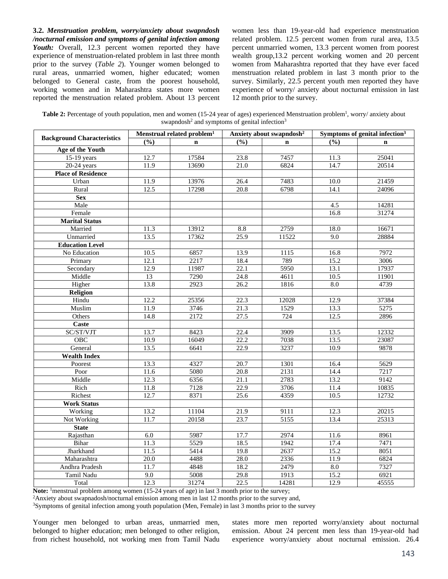**3.2.** *Menstruation problem, worry/anxiety about swapndosh /nocturnal emission and symptoms of genital infection among*  Youth: Overall, 12.3 percent women reported they have experience of menstruation-related problem in last three month prior to the survey (*Table 2*). Younger women belonged to rural areas, unmarried women, higher educated; women belonged to General caste, from the poorest household, working women and in Maharashtra states more women reported the menstruation related problem. About 13 percent

women less than 19-year-old had experience menstruation related problem. 12.5 percent women from rural area, 13.5 percent unmarried women, 13.3 percent women from poorest wealth group,13.2 percent working women and 20 percent women from Maharashtra reported that they have ever faced menstruation related problem in last 3 month prior to the survey. Similarly, 22.5 percent youth men reported they have experience of worry/ anxiety about nocturnal emission in last 12 month prior to the survey.

| Table 2: Percentage of youth population, men and women (15-24 year of ages) experienced Menstruation problem <sup>1</sup> , worry/anxiety about |
|-------------------------------------------------------------------------------------------------------------------------------------------------|
| swapndosh <sup>2</sup> and symptoms of genital infection <sup>3</sup>                                                                           |

|                                   |                  | Menstrual related problem <sup>1</sup> |                   | Anxiety about swapndosh <sup>2</sup> | Symptoms of genital infection <sup>3</sup> |             |  |
|-----------------------------------|------------------|----------------------------------------|-------------------|--------------------------------------|--------------------------------------------|-------------|--|
| <b>Background Characteristics</b> | $\frac{9}{6}$    | $\mathbf n$                            | $\frac{9}{6}$     | $\mathbf n$                          | (%)                                        | $\mathbf n$ |  |
| Age of the Youth                  |                  |                                        |                   |                                      |                                            |             |  |
| $15-19$ years                     | 12.7             | 17584                                  | 23.8              | 7457                                 | 11.3                                       | 25041       |  |
| $20-24$ years                     | 11.9             | 13690                                  | 21.0              | 6824                                 | 14.7                                       | 20514       |  |
| <b>Place of Residence</b>         |                  |                                        |                   |                                      |                                            |             |  |
| Urban                             | 11.9             | 13976                                  | $\overline{2}6.4$ | 7483                                 | 10.0                                       | 21459       |  |
| Rural                             | 12.5             | 17298                                  | 20.8              | 6798                                 | 14.1                                       | 24096       |  |
| <b>Sex</b>                        |                  |                                        |                   |                                      |                                            |             |  |
| Male                              |                  |                                        |                   |                                      | 4.5                                        | 14281       |  |
| Female                            |                  |                                        |                   |                                      | 16.8                                       | 31274       |  |
| <b>Marital Status</b>             |                  |                                        |                   |                                      |                                            |             |  |
| Married                           | 11.3             | 13912                                  | 8.8               | 2759                                 | 18.0                                       | 16671       |  |
| Unmarried                         | 13.5             | 17362                                  | 25.9              | 11522                                | 9.0                                        | 28884       |  |
| <b>Education Level</b>            |                  |                                        |                   |                                      |                                            |             |  |
| No Education                      | 10.5             | 6857                                   | 13.9              | 1115                                 | 16.8                                       | 7972        |  |
| Primary                           | 12.1             | 2217                                   | 18.4              | 789                                  | 15.2                                       | 3006        |  |
| Secondary                         | 12.9             | 11987                                  | 22.1              | 5950                                 | 13.1                                       | 17937       |  |
| Middle                            | 13               | 7290                                   | 24.8              | 4611                                 | 10.5                                       | 11901       |  |
| Higher                            | 13.8             | 2923                                   | 26.2              | 1816                                 | 8.0                                        | 4739        |  |
| Religion                          |                  |                                        |                   |                                      |                                            |             |  |
| Hindu                             | 12.2             | 25356                                  | 22.3              | 12028                                | 12.9                                       | 37384       |  |
| Muslim                            | 11.9             | 3746                                   | $\overline{21.3}$ | 1529                                 | 13.3                                       | 5275        |  |
| Others                            | 14.8             | 2172                                   | 27.5              | 724                                  | 12.5                                       | 2896        |  |
| <b>Caste</b>                      |                  |                                        |                   |                                      |                                            |             |  |
| SC/ST/VJT                         | 13.7             | 8423                                   | 22.4              | 3909                                 | 13.5                                       | 12332       |  |
| OBC                               | 10.9             | 16049                                  | 22.2              | 7038                                 | 13.5                                       | 23087       |  |
| General                           | 13.5             | 6641                                   | 22.9<br>3237      |                                      | 10.9                                       | 9878        |  |
| <b>Wealth Index</b>               |                  |                                        |                   |                                      |                                            |             |  |
| Poorest                           | 13.3             | 4327                                   | $\overline{20.7}$ | 1301                                 | 16.4                                       | 5629        |  |
| Poor                              | 11.6             | 5080                                   | 20.8              | 2131                                 | 14.4                                       | 7217        |  |
| Middle                            | 12.3             | 6356                                   | $\overline{21.1}$ | 2783                                 | 13.2                                       | 9142        |  |
| Rich                              | 11.8             | 7128                                   | 22.9              | 3706                                 | 11.4                                       | 10835       |  |
| Richest                           | 12.7             | 8371                                   | 25.6              | 4359                                 | 10.5                                       | 12732       |  |
| <b>Work Status</b>                |                  |                                        |                   |                                      |                                            |             |  |
| Working                           | 13.2             | 11104                                  | 21.9              | 9111                                 | 12.3                                       | 20215       |  |
| Not Working                       | 11.7             | 20158                                  | 23.7              | $\frac{1}{5155}$                     | 13.4                                       | 25313       |  |
| <b>State</b>                      |                  |                                        |                   |                                      |                                            |             |  |
| Rajasthan                         | 6.0              | 5987                                   | 17.7              | 2974                                 | 11.6                                       | 8961        |  |
| Bihar                             | 11.3             | 5529                                   | 18.5              | 1942                                 | 17.4                                       | 7471        |  |
| Jharkhand                         | 11.5             | 5414                                   | 19.8              | 2637                                 | 15.2                                       | 8051        |  |
| Maharashtra                       | 20.0             | 4488                                   | 28.0              | 2336                                 | 11.9                                       | 6824        |  |
| Andhra Pradesh                    | 11.7             | 4848                                   | 18.2              | 2479                                 | 8.0                                        | 7327        |  |
| Tamil Nadu                        | $\overline{9.0}$ | 5008                                   | 29.8              | 1913                                 | 15.2                                       | 6921        |  |
| Total                             | 12.3             | 31274                                  | 22.5              | 14281                                | 12.9                                       | 45555       |  |

Note: <sup>1</sup>menstrual problem among women (15-24 years of age) in last 3 month prior to the survey;<br><sup>2</sup>Anxiety about swapnadosh/nocturnal emission among men in last 12 months prior to the survey and,<br><sup>3</sup>Symptoms of genital in

Younger men belonged to urban areas, unmarried men, belonged to higher education; men belonged to other religion, from richest household, not working men from Tamil Nadu

states more men reported worry/anxiety about nocturnal emission. About 24 percent men less than 19-year-old had experience worry/anxiety about nocturnal emission. 26.4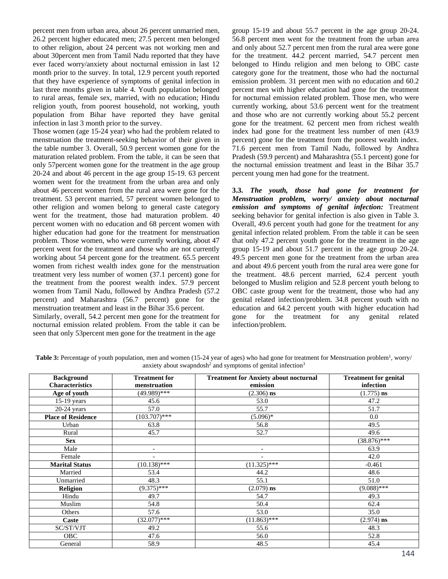percent men from urban area, about 26 percent unmarried men, 26.2 percent higher educated men; 27.5 percent men belonged to other religion, about 24 percent was not working men and about 30percent men from Tamil Nadu reported that they have ever faced worry/anxiety about nocturnal emission in last 12 month prior to the survey. In total, 12.9 percent youth reported that they have experience of symptoms of genital infection in last three months given in table 4. Youth population belonged to rural areas, female sex, married, with no education; Hindu religion youth, from poorest household, not working, youth population from Bihar have reported they have genital infection in last 3 month prior to the survey.

Those women (age 15-24 year) who had the problem related to menstruation the treatment-seeking behavior of their given in the table number 3. Overall, 50.9 percent women gone for the maturation related problem. From the table, it can be seen that only 57percent women gone for the treatment in the age group 20-24 and about 46 percent in the age group 15-19. 63 percent women went for the treatment from the urban area and only about 46 percent women from the rural area were gone for the treatment. 53 percent married, 57 percent women belonged to other religion and women belong to general caste category went for the treatment, those had maturation problem. 40 percent women with no education and 68 percent women with higher education had gone for the treatment for menstruation problem. Those women, who were currently working, about 47 percent went for the treatment and those who are not currently working about 54 percent gone for the treatment. 65.5 percent women from richest wealth index gone for the menstruation treatment very less number of women (37.1 percent) gone for the treatment from the poorest wealth index. 57.9 percent women from Tamil Nadu, followed by Andhra Pradesh (57.2 percent) and Maharashtra (56.7 percent) gone for the menstruation treatment and least in the Bihar 35.6 percent.

Similarly, overall, 54.2 percent men gone for the treatment for nocturnal emission related problem. From the table it can be seen that only 53percent men gone for the treatment in the age

group 15-19 and about 55.7 percent in the age group 20-24. 56.8 percent men went for the treatment from the urban area and only about 52.7 percent men from the rural area were gone for the treatment. 44.2 percent married, 54.7 percent men belonged to Hindu religion and men belong to OBC caste category gone for the treatment, those who had the nocturnal emission problem. 31 percent men with no education and 60.2 percent men with higher education had gone for the treatment for nocturnal emission related problem. Those men, who were currently working, about 53.6 percent went for the treatment and those who are not currently working about 55.2 percent gone for the treatment. 62 percent men from richest wealth index had gone for the treatment less number of men (43.9 percent) gone for the treatment from the poorest wealth index. 71.6 percent men from Tamil Nadu, followed by Andhra Pradesh (59.9 percent) and Maharashtra (55.1 percent) gone for the nocturnal emission treatment and least in the Bihar 35.7 percent young men had gone for the treatment.

**3.3.** *The youth, those had gone for treatment for Menstruation problem, worry/ anxiety about nocturnal emission and symptoms of genital infection:* Treatment seeking behavior for genital infection is also given in Table 3. Overall, 49.6 percent youth had gone for the treatment for any genital infection related problem. From the table it can be seen that only 47.2 percent youth gone for the treatment in the age group 15-19 and about 51.7 percent in the age group 20-24. 49.5 percent men gone for the treatment from the urban area and about 49.6 percent youth from the rural area were gone for the treatment. 48.6 percent married, 62.4 percent youth belonged to Muslim religion and 52.8 percent youth belong to OBC caste group went for the treatment, those who had any genital related infection/problem. 34.8 percent youth with no education and 64.2 percent youth with higher education had gone for the treatment for any genital related infection/problem.

Table 3: Percentage of youth population, men and women (15-24 year of ages) who had gone for treatment for Menstruation problem<sup>1</sup>, worry/ anxiety about swapndosh<sup>2</sup> and symptoms of genital infection<sup>3</sup>

| <b>Background</b>         | <b>Treatment for</b> | <b>Treatment for Anxiety about nocturnal</b> | <b>Treatment for genital</b> |
|---------------------------|----------------------|----------------------------------------------|------------------------------|
| <b>Characteristics</b>    | menstruation         | emission                                     | infection                    |
| Age of youth              | $(49.989)$ ***       | $(2.306)$ ns                                 | $(1.775)$ ns                 |
| 15-19 years               | 45.6                 | 53.0                                         | 47.2                         |
| $20-24$ years             | 57.0                 | 55.7                                         | 51.7                         |
| <b>Place of Residence</b> | $(103.707)$ ***      | $(5.096)^*$                                  | 0.0                          |
| Urban                     | 63.8                 | 56.8                                         | 49.5                         |
| Rural                     | 45.7                 | 52.7                                         | 49.6                         |
| <b>Sex</b>                |                      |                                              | $(38.876)$ ***               |
| Male                      |                      | $\overline{\phantom{a}}$                     | 63.9                         |
| Female                    |                      | $\overline{\phantom{a}}$                     | 42.0                         |
| <b>Marital Status</b>     | $(10.138)$ ***       | $(11.325)$ ***                               | $-0.461$                     |
| Married                   | 53.4                 | 44.2                                         | 48.6                         |
| Unmarried                 | 48.3                 | 55.1                                         | 51.0                         |
| <b>Religion</b>           | $(9.375)*$ ***       | $(2.079)$ ns                                 | $(9.088)$ ***                |
| Hindu                     | 49.7                 | 54.7                                         | 49.3                         |
| Muslim                    | 54.8                 | 50.4                                         | 62.4                         |
| Others                    | 57.6                 | 53.0                                         | 35.0                         |
| Caste                     | $(32.077)*$ ***      | $(11.863)$ ***                               | $(2.974)$ ns                 |
| SC/ST/VJT                 | 49.2                 | 55.6                                         | 48.3                         |
| <b>OBC</b>                | 47.6                 | 56.0                                         | 52.8                         |
| General                   | 58.9                 | 48.5                                         | 45.4                         |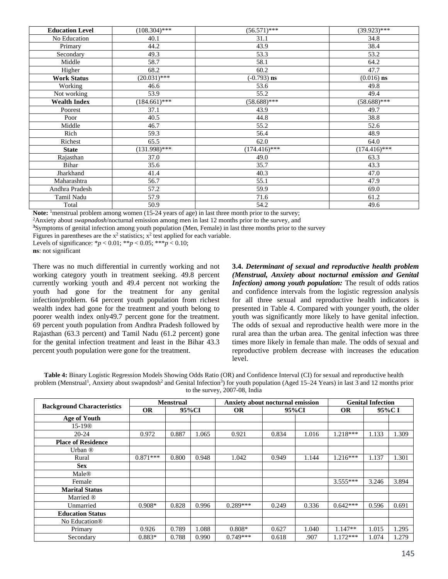| <b>Education Level</b> | $(108.304)$ *** | $(56.571)$ ***  | $(39.923)***$   |
|------------------------|-----------------|-----------------|-----------------|
| No Education           | 40.1            | 31.1            | 34.8            |
| Primary                | 44.2            | 43.9            | 38.4            |
| Secondary              | 49.3            | 53.3            | 53.2            |
| Middle                 | 58.7            | 58.1            | 64.2            |
| Higher                 | 68.2            | 60.2            | 47.7            |
| <b>Work Status</b>     | $(20.031)$ ***  | $(-0.793)$ ns   | $(0.016)$ ns    |
| Working                | 46.6            | 53.6            | 49.8            |
| Not working            | 53.9            | 55.2            | 49.4            |
| <b>Wealth Index</b>    | $(184.661)$ *** | $(58.688)$ ***  | $(58.688)$ ***  |
| Poorest                | 37.1            | 43.9            | 49.7            |
| Poor                   | 40.5            | 44.8            | 38.8            |
| Middle                 | 46.7            | 55.2            | 52.6            |
| Rich                   | 59.3            | 56.4            | 48.9            |
| Richest                | 65.5            | 62.0            | 64.0            |
| <b>State</b>           | $(131.998)$ *** | $(174.416)$ *** | $(174.416)$ *** |
| Rajasthan              | 37.0            | 49.0            | 63.3            |
| Bihar                  | 35.6            | 35.7            | 43.3            |
| Jharkhand              | 41.4            | 40.3            | 47.0            |
| Maharashtra            | 56.7            | 55.1            | 47.9            |
| Andhra Pradesh         | 57.2            | 59.9            | 69.0            |
| Tamil Nadu             | 57.9            | 71.6            | 61.2            |
| Total                  | 50.9            | 54.2            | 49.6            |

**Note:** <sup>1</sup>menstrual problem among women (15-24 years of age) in last three month prior to the survey; <sup>2</sup>Anxiety about *swapnadosh*/nocturnal emission among men in last 12 months prior to the survey, and

**<sup>3</sup>**Symptoms of genital infection among youth population (Men, Female) in last three months prior to the survey

Figures in parentheses are the  $x^2$  statistics;  $x^2$  test applied for each variable.

Levels of significance:  $* p < 0.01$ ;  $** p < 0.05$ ;  $** p < 0.10$ ;

**ns**: not significant

There was no much differential in currently working and not working category youth in treatment seeking. 49.8 percent currently working youth and 49.4 percent not working the youth had gone for the treatment for any genital infection/problem. 64 percent youth population from richest wealth index had gone for the treatment and youth belong to poorer wealth index only49.7 percent gone for the treatment. 69 percent youth population from Andhra Pradesh followed by Rajasthan (63.3 percent) and Tamil Nadu (61.2 percent) gone for the genital infection treatment and least in the Bihar 43.3 percent youth population were gone for the treatment.

**3.4.** *Determinant of sexual and reproductive health problem (Menstrual, Anxiety about nocturnal emission and Genital Infection) among youth population:* The result of odds ratios and confidence intervals from the logistic regression analysis for all three sexual and reproductive health indicators is presented in Table 4. Compared with younger youth, the older youth was significantly more likely to have genital infection. The odds of sexual and reproductive health were more in the rural area than the urban area. The genital infection was three times more likely in female than male. The odds of sexual and reproductive problem decrease with increases the education level.

**Table 4:** Binary Logistic Regression Models Showing Odds Ratio (OR) and Confidence Interval (CI) for sexual and reproductive health problem (Menstrual<sup>1</sup>, Anxiety about swapndosh<sup>2</sup> and Genital Infection<sup>3</sup>) for youth population (Aged 15–24 Years) in last 3 and 12 months prior to the survey, 2007-08, India

|                                   | <b>Menstrual</b> |       | <b>Anxiety about nocturnal emission</b> |            |       | <b>Genital Infection</b> |            |       |       |
|-----------------------------------|------------------|-------|-----------------------------------------|------------|-------|--------------------------|------------|-------|-------|
| <b>Background Characteristics</b> | <b>OR</b>        | 95%CI |                                         | <b>OR</b>  | 95%CI |                          | <b>OR</b>  | 95%CI |       |
| Age of Youth                      |                  |       |                                         |            |       |                          |            |       |       |
| 15-19®                            |                  |       |                                         |            |       |                          |            |       |       |
| $20 - 24$                         | 0.972            | 0.887 | 1.065                                   | 0.921      | 0.834 | 1.016                    | $1.218***$ | 1.133 | 1.309 |
| <b>Place of Residence</b>         |                  |       |                                         |            |       |                          |            |       |       |
| Urban <sup>®</sup>                |                  |       |                                         |            |       |                          |            |       |       |
| Rural                             | $0.871***$       | 0.800 | 0.948                                   | 1.042      | 0.949 | 1.144                    | $1.216***$ | 1.137 | 1.301 |
| <b>Sex</b>                        |                  |       |                                         |            |       |                          |            |       |       |
| Male®                             |                  |       |                                         |            |       |                          |            |       |       |
| Female                            |                  |       |                                         |            |       |                          | $3.555***$ | 3.246 | 3.894 |
| <b>Marital Status</b>             |                  |       |                                         |            |       |                          |            |       |       |
| Married ®                         |                  |       |                                         |            |       |                          |            |       |       |
| Unmarried                         | $0.908*$         | 0.828 | 0.996                                   | $0.289***$ | 0.249 | 0.336                    | $0.642***$ | 0.596 | 0.691 |
| <b>Education Status</b>           |                  |       |                                         |            |       |                          |            |       |       |
| No Education <sup>®</sup>         |                  |       |                                         |            |       |                          |            |       |       |
| Primary                           | 0.926            | 0.789 | 1.088                                   | $0.808*$   | 0.627 | 1.040                    | $1.147**$  | 1.015 | 1.295 |
| Secondary                         | $0.883*$         | 0.788 | 0.990                                   | $0.749***$ | 0.618 | .907                     | $1.172***$ | 1.074 | 1.279 |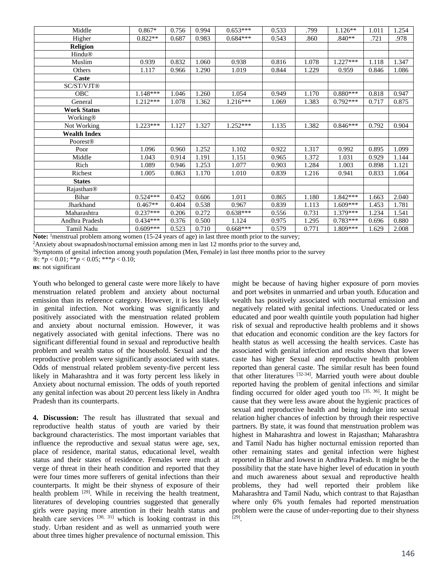| Middle              | $0.867*$   | 0.756 | 0.994 | $0.653***$ | 0.533 | .799  | $1.126**$  | 1.011 | 1.254 |
|---------------------|------------|-------|-------|------------|-------|-------|------------|-------|-------|
| Higher              | $0.822**$  | 0.687 | 0.983 | $0.684***$ | 0.543 | .860  | $.840**$   | .721  | .978  |
| <b>Religion</b>     |            |       |       |            |       |       |            |       |       |
| <b>Hindu®</b>       |            |       |       |            |       |       |            |       |       |
| Muslim              | 0.939      | 0.832 | 1.060 | 0.938      | 0.816 | 1.078 | $1.227***$ | 1.118 | 1.347 |
| Others              | 1.117      | 0.966 | 1.290 | 1.019      | 0.844 | 1.229 | 0.959      | 0.846 | 1.086 |
| Caste               |            |       |       |            |       |       |            |       |       |
| SC/ST/VJT®          |            |       |       |            |       |       |            |       |       |
| OBC                 | 1.148***   | 1.046 | l.260 | 1.054      | 0.949 | 1.170 | $0.880***$ | 0.818 | 0.947 |
| General             | $1.212***$ | 1.078 | 1.362 | $1.216***$ | 1.069 | 1.383 | $0.792***$ | 0.717 | 0.875 |
| <b>Work Status</b>  |            |       |       |            |       |       |            |       |       |
| Working®            |            |       |       |            |       |       |            |       |       |
| Not Working         | $1.223***$ | 1.127 | 1.327 | $1.252***$ | 1.135 | 1.382 | $0.846***$ | 0.792 | 0.904 |
| <b>Wealth Index</b> |            |       |       |            |       |       |            |       |       |
| Poorest®            |            |       |       |            |       |       |            |       |       |
| Poor                | 1.096      | 0.960 | 1.252 | 1.102      | 0.922 | 1.317 | 0.992      | 0.895 | 1.099 |
| Middle              | 1.043      | 0.914 | 1.191 | 1.151      | 0.965 | 1.372 | 1.031      | 0.929 | 1.144 |
| Rich                | 1.089      | 0.946 | 1.253 | 1.077      | 0.903 | 1.284 | 1.003      | 0.898 | 1.121 |
| Richest             | 1.005      | 0.863 | 1.170 | 1.010      | 0.839 | 1.216 | 0.941      | 0.833 | 1.064 |
| <b>States</b>       |            |       |       |            |       |       |            |       |       |
| Rajasthan®          |            |       |       |            |       |       |            |       |       |
| <b>Bihar</b>        | $0.524***$ | 0.452 | 0.606 | 1.011      | 0.865 | 1.180 | $1.842***$ | 1.663 | 2.040 |
| Jharkhand           | $0.467**$  | 0.404 | 0.538 | 0.967      | 0.839 | 1.113 | $1.609***$ | 1.453 | 1.781 |
| Maharashtra         | $0.237***$ | 0.206 | 0.272 | $0.638***$ | 0.556 | 0.731 | 1.379***   | 1.234 | 1.541 |
| Andhra Pradesh      | $0.434***$ | 0.376 | 0.500 | 1.124      | 0.975 | 1.295 | $0.783***$ | 0.696 | 0.880 |
| Tamil Nadu          | $0.609***$ | 0.523 | 0.710 | $0.668***$ | 0.579 | 0.771 | 1.809***   | 1.629 | 2.008 |

**Note:** <sup>1</sup>menstrual problem among women (15-24 years of age) in last three month prior to the survey;<br><sup>2</sup>Anxiety about swapnadosh/nocturnal emission among men in last 12 months prior to the survey and,<br><sup>3</sup>Symptoms of geni

®: \**p* < 0.01; \*\**p* < 0.05; \*\*\**p* < 0.10;

**ns**: not significant

Youth who belonged to general caste were more likely to have menstruation related problem and anxiety about nocturnal emission than its reference category. However, it is less likely in genital infection. Not working was significantly and positively associated with the menstruation related problem and anxiety about nocturnal emission. However, it was negatively associated with genital infections. There was no significant differential found in sexual and reproductive health problem and wealth status of the household. Sexual and the reproductive problem were significantly associated with states. Odds of menstrual related problem seventy-five percent less likely in Maharashtra and it was forty percent less likely in Anxiety about nocturnal emission. The odds of youth reported any genital infection was about 20 percent less likely in Andhra Pradesh than its counterparts.

**4. Discussion:** The result has illustrated that sexual and reproductive health status of youth are varied by their background characteristics. The most important variables that influence the reproductive and sexual status were age, sex, place of residence, marital status, educational level, wealth status and their states of residence. Females were much at verge of threat in their heath condition and reported that they were four times more sufferers of genital infections than their counterparts. It might be their shyness of exposure of their health problem  $[29]$ . While in receiving the health treatment, literatures of developing countries suggested that generally girls were paying more attention in their health status and health care services  $[30, 31]$  which is looking contrast in this study. Urban resident and as well as unmarried youth were about three times higher prevalence of nocturnal emission. This

might be because of having higher exposure of porn movies and port websites in unmarried and urban youth. Education and wealth has positively associated with nocturnal emission and negatively related with genital infections. Uneducated or less educated and poor wealth quintile youth population had higher risk of sexual and reproductive health problems and it shows that education and economic condition are the key factors for health status as well accessing the health services. Caste has associated with genital infection and results shown that lower caste has higher Sexual and reproductive health problem reported than general caste. The similar result has been found that other literatures [32-34]. Married youth were about double reported having the problem of genital infections and similar finding occurred for older aged youth too  $[35, 36]$ . It might be cause that they were less aware about the hygienic practices of sexual and reproductive health and being indulge into sexual relation higher chances of infection by through their respective partners. By state, it was found that menstruation problem was highest in Maharashtra and lowest in Rajasthan; Maharashtra and Tamil Nadu has higher nocturnal emission reported than other remaining states and genital infection were highest reported in Bihar and lowest in Andhra Pradesh. It might be the possibility that the state have higher level of education in youth and much awareness about sexual and reproductive health problems, they had well reported their problem like Maharashtra and Tamil Nadu, which contrast to that Rajasthan where only 6% youth females had reported menstruation problem were the cause of under-reporting due to their shyness [29].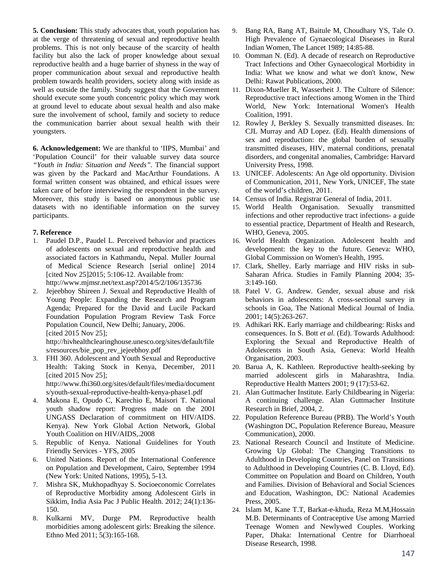**5. Conclusion:** This study advocates that, youth population has at the verge of threatening of sexual and reproductive health problems. This is not only because of the scarcity of health facility but also the lack of proper knowledge about sexual reproductive health and a huge barrier of shyness in the way of proper communication about sexual and reproductive health problem towards health providers, society along with inside as well as outside the family. Study suggest that the Government should execute some youth concentric policy which may work at ground level to educate about sexual health and also make sure the involvement of school, family and society to reduce the communication barrier about sexual health with their youngsters.

**6. Acknowledgement:** We are thankful to 'IIPS, Mumbai' and 'Population Council' for their valuable survey data source *"Youth in India: Situation and Needs".* The financial support was given by the Packard and MacArthur Foundations. A formal written consent was obtained, and ethical issues were taken care of before interviewing the respondent in the survey. Moreover, this study is based on anonymous public use datasets with no identifiable information on the survey participants.

## **7. Reference**

- 1. Paudel D.P., Paudel L. Perceived behavior and practices of adolescents on sexual and reproductive health and associated factors in Kathmandu, Nepal. Muller Journal of Medical Science Research [serial online] 2014 [cited Nov 25]2015; 5:106-12. Available from: http://www.mjmsr.net/text.asp?2014/5/2/106/135736
- 2. Jejeebhoy Shireen J. Sexual and Reproductive Health of Young People: Expanding the Research and Program Agenda; Prepared for the David and Lucile Packard Foundation Population Program Review Task Force Population Council, New Delhi; January, 2006. [cited 2015 Nov 25];

http://hivhealthclearinghouse.unesco.org/sites/default/file s/resources/bie\_pop\_rev\_jejeebhoy.pdf

- 3. FHI 360. Adolescent and Youth Sexual and Reproductive Health: Taking Stock in Kenya, December, 2011 [cited 2015 Nov 25]; http://www.fhi360.org/sites/default/files/media/document s/youth-sexual-reproductive-health-kenya-phase1.pdf
- 4. Makona E, Opudo C, Karechio E, Maisori T. National youth shadow report: Progress made on the 2001 UNGASS Declaration of commitment on HIV/AIDS. Kenya). New York Global Action Network, Global Youth Coalition on HIV/AIDS,.2008
- 5. Republic of Kenya. National Guidelines for Youth Friendly Services - YFS, 2005
- 6. United Nations. Report of the International Conference on Population and Development, Cairo, September 1994 (New York: United Nations, 1995), 5-13.
- 7. Mishra SK, Mukhopadhyay S. Socioeconomic Correlates of Reproductive Morbidity among Adolescent Girls in Sikkim, India Asia Pac J Public Health. 2012; 24(1):136- 150.
- 8. Kulkarni MV, Durge PM. Reproductive health morbidities among adolescent girls: Breaking the silence. Ethno Med 2011; 5(3):165-168.
- 9. Bang RA, Bang AT, Baitule M, Choudhary YS, Tale O. High Prevalence of Gynaecological Diseases in Rural Indian Women, The Lancet 1989; 14:85-88.
- 10. Oomman N. (Ed). A decade of research on Reproductive Tract Infections and Other Gynaecological Morbidity in India: What we know and what we don't know, New Delhi: Rawat Publications, 2000.
- 11. Dixon-Mueller R, Wasserheit J. The Culture of Silence: Reproductive tract infections among Women in the Third World, New York: International Women's Health Coalition, 1991.
- 12. Rowley J, Berkley S. Sexually transmitted diseases. In: CJL Murray and AD Lopez. (Ed). Health dimensions of sex and reproduction: the global burden of sexually transmitted diseases, HIV, maternal conditions, prenatal disorders, and congenital anomalies, Cambridge: Harvard University Press, 1998.
- 13. UNICEF. Adolescents: An Age old opportunity. Division of Communication, 2011, New York, UNICEF, The state of the world's children, 2011.
- 14. Census of India. Registrar General of India, 2011.
- 15. World Health Organisation. Sexually transmitted infections and other reproductive tract infections- a guide to essential practice, Department of Health and Research, WHO, Geneva, 2005.
- 16. World Health Organization. Adolescent health and development: the key to the future. Geneva: WHO, Global Commission on Women's Health, 1995.
- 17. Clark, Shelley. Early marriage and HIV risks in sub-Saharan Africa. Studies in Family Planning 2004; 35- 3:149-160.
- 18. Patel V. G. Andrew. Gender, sexual abuse and risk behaviors in adolescents: A cross-sectional survey in schools in Goa, The National Medical Journal of India. 2001; 14(5):263-267.
- 19. Adhikari RK. Early marriage and childbearing: Risks and consequences. In S. Bott *et al*. (Ed). Towards Adulthood: Exploring the Sexual and Reproductive Health of Adolescents in South Asia, Geneva: World Health Organisation, 2003.
- 20. Barua A, K. Kathleen. Reproductive health-seeking by married adolescent girls in Maharashtra, India. Reproductive Health Matters 2001; 9 (17):53-62.
- 21. Alan Guttmacher Institute. Early Childbearing in Nigeria: A continuing challenge. Alan Guttmacher Institute Research in Brief, 2004, 2.
- 22. Population Reference Bureau (PRB). The World's Youth (Washington DC, Population Reference Bureau, Measure Communication), 2000.
- 23. National Research Council and Institute of Medicine. Growing Up Global: The Changing Transitions to Adulthood in Developing Countries, Panel on Transitions to Adulthood in Developing Countries (C. B. Lloyd, Ed). Committee on Population and Board on Children, Youth and Families. Division of Behavioral and Social Sciences and Education, Washington, DC: National Academies Press, 2005.
- 24. Islam M, Kane T.T, Barkat-e-khuda, Reza M.M,Hossain M.B. Determinants of Contraceptive Use among Married Teenage Women and Newlywed Couples. Working Paper, Dhaka: International Centre for Diarrhoeal Disease Research, 1998.